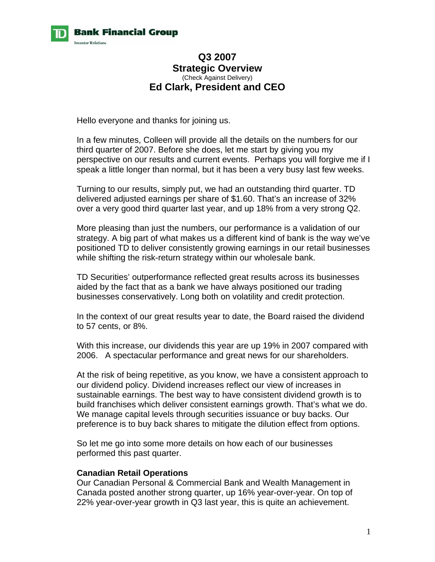

### **Q3 2007 Strategic Overview**  (Check Against Delivery) **Ed Clark, President and CEO**

Hello everyone and thanks for joining us.

In a few minutes, Colleen will provide all the details on the numbers for our third quarter of 2007. Before she does, let me start by giving you my perspective on our results and current events. Perhaps you will forgive me if I speak a little longer than normal, but it has been a very busy last few weeks.

Turning to our results, simply put, we had an outstanding third quarter. TD delivered adjusted earnings per share of \$1.60. That's an increase of 32% over a very good third quarter last year, and up 18% from a very strong Q2.

More pleasing than just the numbers, our performance is a validation of our strategy. A big part of what makes us a different kind of bank is the way we've positioned TD to deliver consistently growing earnings in our retail businesses while shifting the risk-return strategy within our wholesale bank.

TD Securities' outperformance reflected great results across its businesses aided by the fact that as a bank we have always positioned our trading businesses conservatively. Long both on volatility and credit protection.

In the context of our great results year to date, the Board raised the dividend to 57 cents, or 8%.

With this increase, our dividends this year are up 19% in 2007 compared with 2006. A spectacular performance and great news for our shareholders.

At the risk of being repetitive, as you know, we have a consistent approach to our dividend policy. Dividend increases reflect our view of increases in sustainable earnings. The best way to have consistent dividend growth is to build franchises which deliver consistent earnings growth. That's what we do. We manage capital levels through securities issuance or buy backs. Our preference is to buy back shares to mitigate the dilution effect from options.

So let me go into some more details on how each of our businesses performed this past quarter.

#### **Canadian Retail Operations**

Our Canadian Personal & Commercial Bank and Wealth Management in Canada posted another strong quarter, up 16% year-over-year. On top of 22% year-over-year growth in Q3 last year, this is quite an achievement.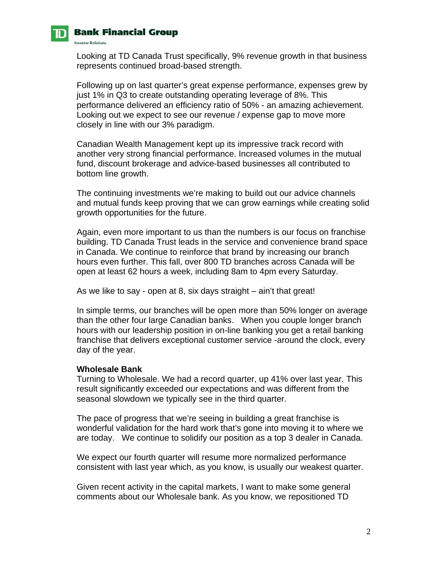

**Investor Relations.** 

## **Bank Financial Group**

Looking at TD Canada Trust specifically, 9% revenue growth in that business represents continued broad-based strength.

Following up on last quarter's great expense performance, expenses grew by just 1% in Q3 to create outstanding operating leverage of 8%. This performance delivered an efficiency ratio of 50% - an amazing achievement. Looking out we expect to see our revenue / expense gap to move more closely in line with our 3% paradigm.

Canadian Wealth Management kept up its impressive track record with another very strong financial performance. Increased volumes in the mutual fund, discount brokerage and advice-based businesses all contributed to bottom line growth.

The continuing investments we're making to build out our advice channels and mutual funds keep proving that we can grow earnings while creating solid growth opportunities for the future.

Again, even more important to us than the numbers is our focus on franchise building. TD Canada Trust leads in the service and convenience brand space in Canada. We continue to reinforce that brand by increasing our branch hours even further. This fall, over 800 TD branches across Canada will be open at least 62 hours a week, including 8am to 4pm every Saturday.

As we like to say - open at 8, six days straight – ain't that great!

In simple terms, our branches will be open more than 50% longer on average than the other four large Canadian banks. When you couple longer branch hours with our leadership position in on-line banking you get a retail banking franchise that delivers exceptional customer service -around the clock, every day of the year.

#### **Wholesale Bank**

Turning to Wholesale. We had a record quarter, up 41% over last year. This result significantly exceeded our expectations and was different from the seasonal slowdown we typically see in the third quarter.

The pace of progress that we're seeing in building a great franchise is wonderful validation for the hard work that's gone into moving it to where we are today. We continue to solidify our position as a top 3 dealer in Canada.

We expect our fourth quarter will resume more normalized performance consistent with last year which, as you know, is usually our weakest quarter.

Given recent activity in the capital markets, I want to make some general comments about our Wholesale bank. As you know, we repositioned TD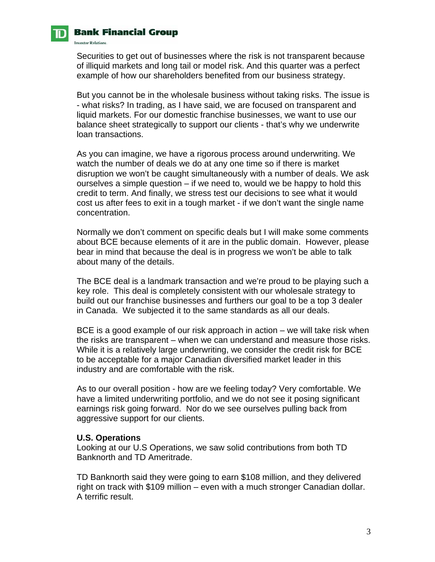

## **Bank Financial Group**

**Investor Relations.** 

Securities to get out of businesses where the risk is not transparent because of illiquid markets and long tail or model risk. And this quarter was a perfect example of how our shareholders benefited from our business strategy.

But you cannot be in the wholesale business without taking risks. The issue is - what risks? In trading, as I have said, we are focused on transparent and liquid markets. For our domestic franchise businesses, we want to use our balance sheet strategically to support our clients - that's why we underwrite loan transactions.

As you can imagine, we have a rigorous process around underwriting. We watch the number of deals we do at any one time so if there is market disruption we won't be caught simultaneously with a number of deals. We ask ourselves a simple question – if we need to, would we be happy to hold this credit to term. And finally, we stress test our decisions to see what it would cost us after fees to exit in a tough market - if we don't want the single name concentration.

Normally we don't comment on specific deals but I will make some comments about BCE because elements of it are in the public domain. However, please bear in mind that because the deal is in progress we won't be able to talk about many of the details.

The BCE deal is a landmark transaction and we're proud to be playing such a key role. This deal is completely consistent with our wholesale strategy to build out our franchise businesses and furthers our goal to be a top 3 dealer in Canada. We subjected it to the same standards as all our deals.

BCE is a good example of our risk approach in action – we will take risk when the risks are transparent – when we can understand and measure those risks. While it is a relatively large underwriting, we consider the credit risk for BCE to be acceptable for a major Canadian diversified market leader in this industry and are comfortable with the risk.

As to our overall position - how are we feeling today? Very comfortable. We have a limited underwriting portfolio, and we do not see it posing significant earnings risk going forward. Nor do we see ourselves pulling back from aggressive support for our clients.

#### **U.S. Operations**

Looking at our U.S Operations, we saw solid contributions from both TD Banknorth and TD Ameritrade.

TD Banknorth said they were going to earn \$108 million, and they delivered right on track with \$109 million – even with a much stronger Canadian dollar. A terrific result.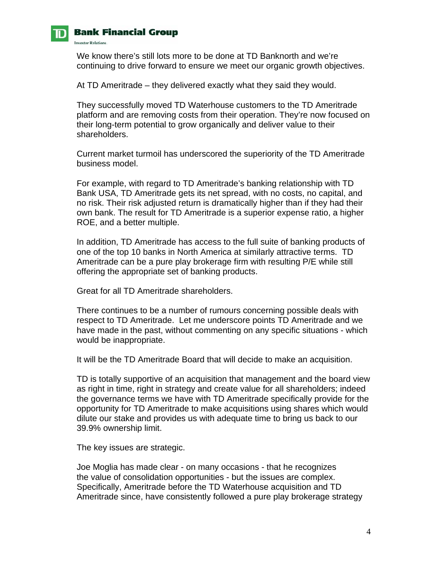

**Investor Relations.** 

## **Bank Financial Group**

We know there's still lots more to be done at TD Banknorth and we're continuing to drive forward to ensure we meet our organic growth objectives.

At TD Ameritrade – they delivered exactly what they said they would.

They successfully moved TD Waterhouse customers to the TD Ameritrade platform and are removing costs from their operation. They're now focused on their long-term potential to grow organically and deliver value to their shareholders.

Current market turmoil has underscored the superiority of the TD Ameritrade business model.

For example, with regard to TD Ameritrade's banking relationship with TD Bank USA, TD Ameritrade gets its net spread, with no costs, no capital, and no risk. Their risk adjusted return is dramatically higher than if they had their own bank. The result for TD Ameritrade is a superior expense ratio, a higher ROE, and a better multiple.

In addition, TD Ameritrade has access to the full suite of banking products of one of the top 10 banks in North America at similarly attractive terms. TD Ameritrade can be a pure play brokerage firm with resulting P/E while still offering the appropriate set of banking products.

Great for all TD Ameritrade shareholders.

There continues to be a number of rumours concerning possible deals with respect to TD Ameritrade. Let me underscore points TD Ameritrade and we have made in the past, without commenting on any specific situations - which would be inappropriate.

It will be the TD Ameritrade Board that will decide to make an acquisition.

TD is totally supportive of an acquisition that management and the board view as right in time, right in strategy and create value for all shareholders; indeed the governance terms we have with TD Ameritrade specifically provide for the opportunity for TD Ameritrade to make acquisitions using shares which would dilute our stake and provides us with adequate time to bring us back to our 39.9% ownership limit.

The key issues are strategic.

Joe Moglia has made clear - on many occasions - that he recognizes the value of consolidation opportunities - but the issues are complex. Specifically, Ameritrade before the TD Waterhouse acquisition and TD Ameritrade since, have consistently followed a pure play brokerage strategy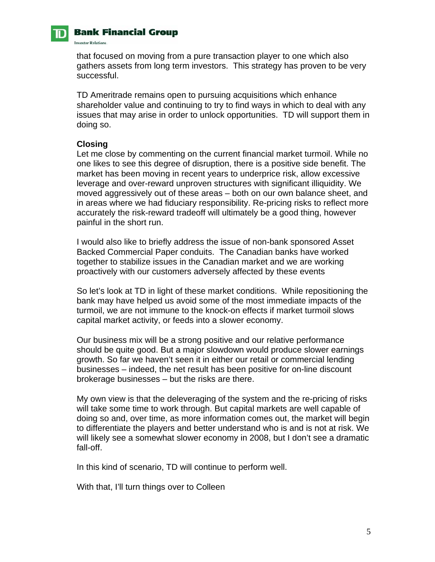### **Bank Financial Group**

**Investor Relations.** 

that focused on moving from a pure transaction player to one which also gathers assets from long term investors. This strategy has proven to be very successful.

TD Ameritrade remains open to pursuing acquisitions which enhance shareholder value and continuing to try to find ways in which to deal with any issues that may arise in order to unlock opportunities. TD will support them in doing so.

#### **Closing**

Let me close by commenting on the current financial market turmoil. While no one likes to see this degree of disruption, there is a positive side benefit. The market has been moving in recent years to underprice risk, allow excessive leverage and over-reward unproven structures with significant illiquidity. We moved aggressively out of these areas – both on our own balance sheet, and in areas where we had fiduciary responsibility. Re-pricing risks to reflect more accurately the risk-reward tradeoff will ultimately be a good thing, however painful in the short run.

I would also like to briefly address the issue of non-bank sponsored Asset Backed Commercial Paper conduits. The Canadian banks have worked together to stabilize issues in the Canadian market and we are working proactively with our customers adversely affected by these events

So let's look at TD in light of these market conditions. While repositioning the bank may have helped us avoid some of the most immediate impacts of the turmoil, we are not immune to the knock-on effects if market turmoil slows capital market activity, or feeds into a slower economy.

Our business mix will be a strong positive and our relative performance should be quite good. But a major slowdown would produce slower earnings growth. So far we haven't seen it in either our retail or commercial lending businesses – indeed, the net result has been positive for on-line discount brokerage businesses – but the risks are there.

My own view is that the deleveraging of the system and the re-pricing of risks will take some time to work through. But capital markets are well capable of doing so and, over time, as more information comes out, the market will begin to differentiate the players and better understand who is and is not at risk. We will likely see a somewhat slower economy in 2008, but I don't see a dramatic fall-off.

In this kind of scenario, TD will continue to perform well.

With that, I'll turn things over to Colleen